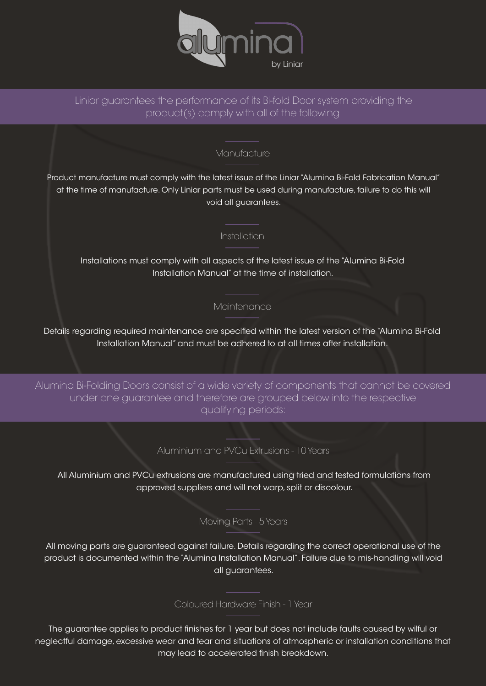

# Liniar guarantees the performance of its Bi-fold Door system providing the product(s) comply with all of the following:

## Manufacture

Product manufacture must comply with the latest issue of the Liniar "Alumina Bi-Fold Fabrication Manual" at the time of manufacture. Only Liniar parts must be used during manufacture, failure to do this will void all guarantees.

#### Installation

Installations must comply with all aspects of the latest issue of the "Alumina Bi-Fold Installation Manual" at the time of installation.

## **Maintenance**

Details regarding required maintenance are specified within the latest version of the "Alumina Bi-Fold Installation Manual" and must be adhered to at all times after installation.

Alumina Bi-Folding Doors consist of a wide variety of components that cannot be covered under one guarantee and therefore are grouped below into the respective qualifying periods:

#### Aluminium and PVCu Extrusions - 10 Years

All Aluminium and PVCu extrusions are manufactured using tried and tested formulations from approved suppliers and will not warp, split or discolour.

Moving Parts - 5 Years

All moving parts are guaranteed against failure. Details regarding the correct operational use of the product is documented within the "Alumina Installation Manual". Failure due to mis-handling will void all guarantees.

## Coloured Hardware Finish - 1 Year

The guarantee applies to product finishes for 1 year but does not include faults caused by wilful or neglectful damage, excessive wear and tear and situations of atmospheric or installation conditions that may lead to accelerated finish breakdown.